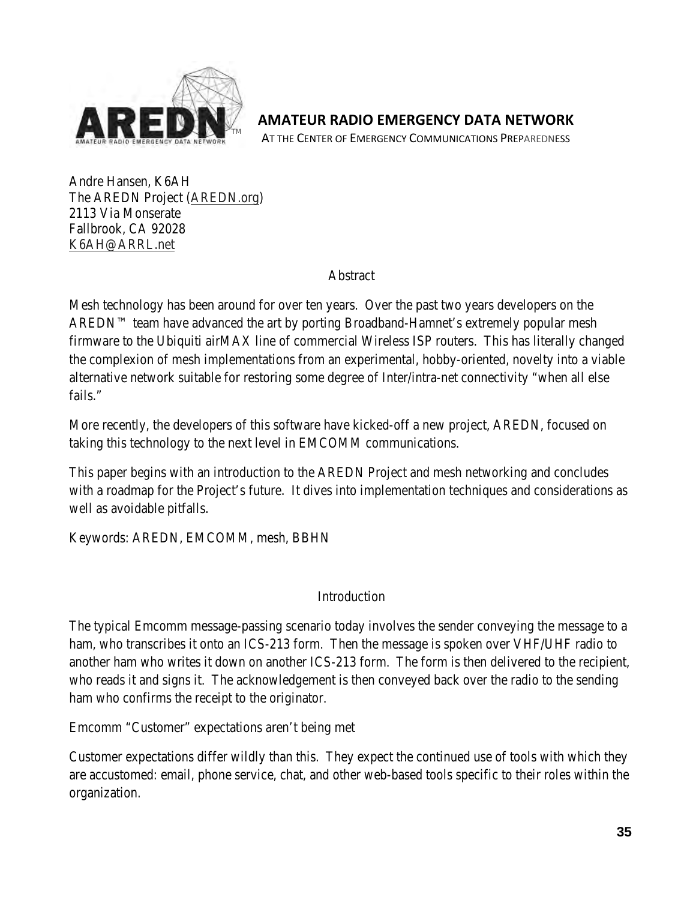

**AMATEUR RADIO EMERGENCY DATA NETWORK**

AT THE CENTER OF EMERGENCY COMMUNICATIONS PREPAREDNESS

Andre Hansen, K6AH The AREDN Project (AREDN.org) 2113 Via Monserate Fallbrook, CA 92028 K6AH@ARRL.net

Abstract

Mesh technology has been around for over ten years. Over the past two years developers on the AREDN™ team have advanced the art by porting Broadband-Hamnet's extremely popular mesh firmware to the Ubiquiti airMAX line of commercial Wireless ISP routers. This has literally changed the complexion of mesh implementations from an experimental, hobby-oriented, novelty into a viable alternative network suitable for restoring some degree of Inter/intra-net connectivity "when all else fails."

More recently, the developers of this software have kicked-off a new project, AREDN, focused on taking this technology to the next level in EMCOMM communications.

This paper begins with an introduction to the AREDN Project and mesh networking and concludes with a roadmap for the Project's future. It dives into implementation techniques and considerations as well as avoidable pitfalls.

Keywords: AREDN, EMCOMM, mesh, BBHN

### Introduction

The typical Emcomm message-passing scenario today involves the sender conveying the message to a ham, who transcribes it onto an ICS-213 form. Then the message is spoken over VHF/UHF radio to another ham who writes it down on another ICS-213 form. The form is then delivered to the recipient, who reads it and signs it. The acknowledgement is then conveyed back over the radio to the sending ham who confirms the receipt to the originator.

Emcomm "Customer" expectations aren't being met

Customer expectations differ wildly than this. They expect the continued use of tools with which they are accustomed: email, phone service, chat, and other web-based tools specific to their roles within the organization.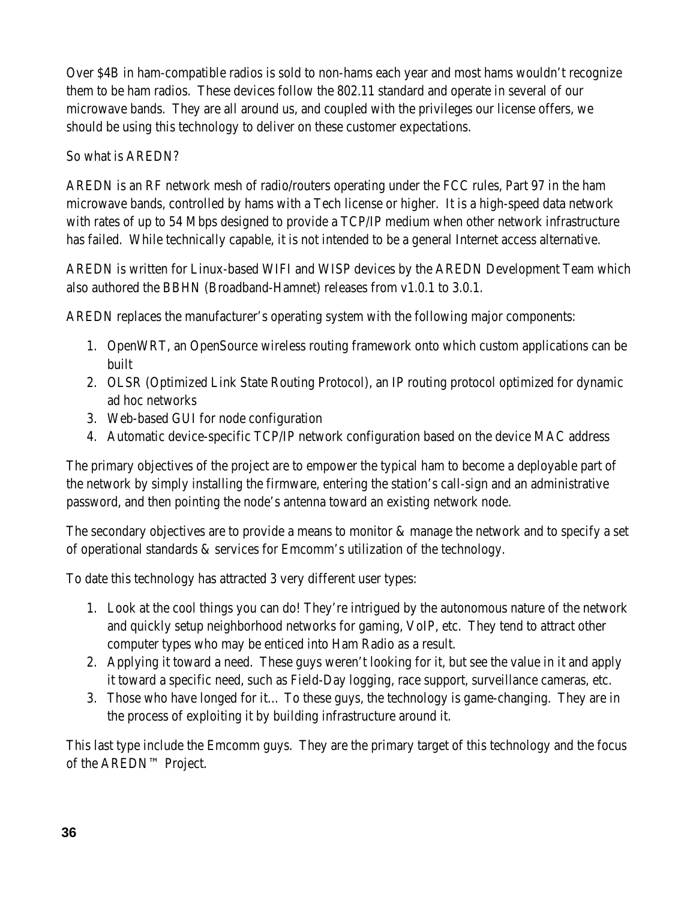Over \$4B in ham-compatible radios is sold to non-hams each year and most hams wouldn't recognize them to be ham radios. These devices follow the 802.11 standard and operate in several of our microwave bands. They are all around us, and coupled with the privileges our license offers, we should be using this technology to deliver on these customer expectations.

## So what is AREDN?

AREDN is an RF network mesh of radio/routers operating under the FCC rules, Part 97 in the ham microwave bands, controlled by hams with a Tech license or higher. It is a high-speed data network with rates of up to 54 Mbps designed to provide a TCP/IP medium when other network infrastructure has failed. While technically capable, it is not intended to be a general Internet access alternative.

AREDN is written for Linux-based WIFI and WISP devices by the AREDN Development Team which also authored the BBHN (Broadband-Hamnet) releases from v1.0.1 to 3.0.1.

AREDN replaces the manufacturer's operating system with the following major components:

- 1. OpenWRT, an OpenSource wireless routing framework onto which custom applications can be built
- 2. OLSR (Optimized Link State Routing Protocol), an IP routing protocol optimized for dynamic ad hoc networks
- 3. Web-based GUI for node configuration
- 4. Automatic device-specific TCP/IP network configuration based on the device MAC address

The primary objectives of the project are to empower the typical ham to become a deployable part of the network by simply installing the firmware, entering the station's call-sign and an administrative password, and then pointing the node's antenna toward an existing network node.

The secondary objectives are to provide a means to monitor & manage the network and to specify a set of operational standards & services for Emcomm's utilization of the technology.

To date this technology has attracted 3 very different user types:

- 1. Look at the cool things you can do! They're intrigued by the autonomous nature of the network and quickly setup neighborhood networks for gaming, VoIP, etc. They tend to attract other computer types who may be enticed into Ham Radio as a result.
- 2. Applying it toward a need. These guys weren't looking for it, but see the value in it and apply it toward a specific need, such as Field-Day logging, race support, surveillance cameras, etc.
- 3. Those who have longed for it… To these guys, the technology is game-changing. They are in the process of exploiting it by building infrastructure around it.

This last type include the Emcomm guys. They are the primary target of this technology and the focus of the AREDN™ Project.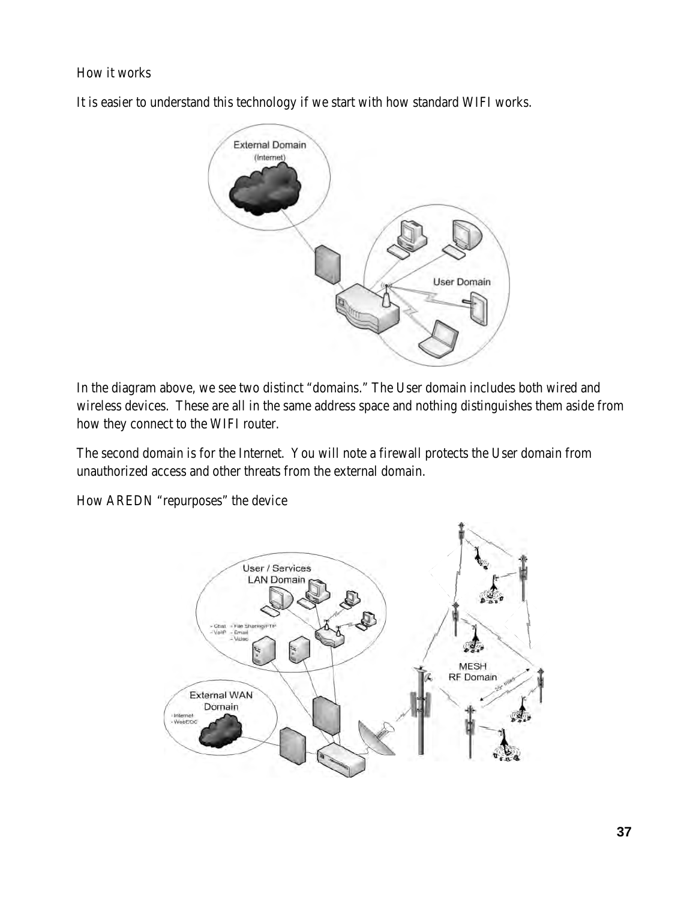### How it works

It is easier to understand this technology if we start with how standard WIFI works.



In the diagram above, we see two distinct "domains." The User domain includes both wired and wireless devices. These are all in the same address space and nothing distinguishes them aside from how they connect to the WIFI router.

The second domain is for the Internet. You will note a firewall protects the User domain from unauthorized access and other threats from the external domain.

How AREDN "repurposes" the device

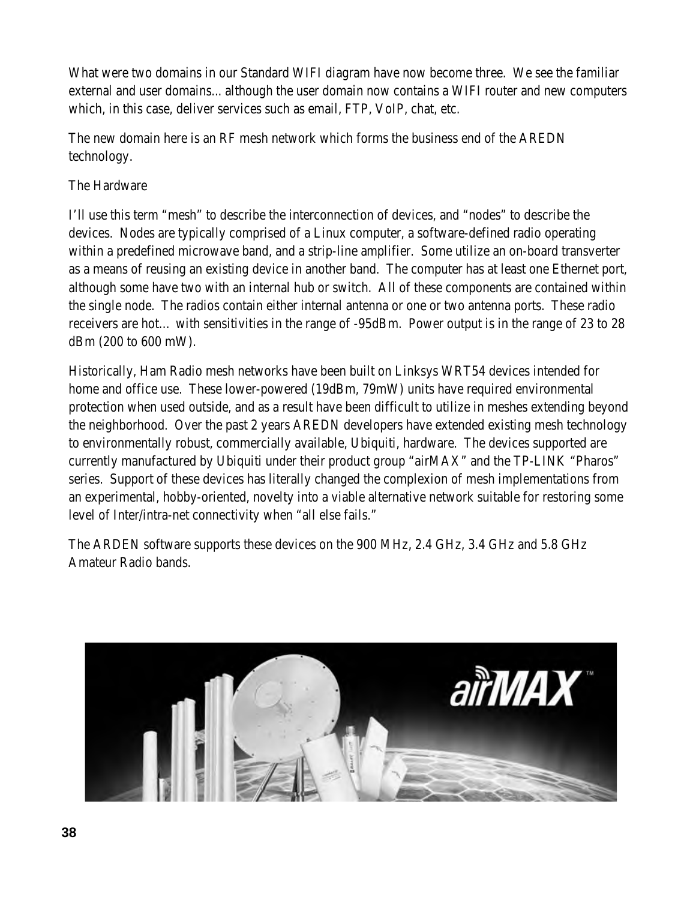What were two domains in our Standard WIFI diagram have now become three. We see the familiar external and user domains... although the user domain now contains a WIFI router and new computers which, in this case, deliver services such as email, FTP, VoIP, chat, etc.

The new domain here is an RF mesh network which forms the business end of the AREDN technology.

# The Hardware

I'll use this term "mesh" to describe the interconnection of devices, and "nodes" to describe the devices. Nodes are typically comprised of a Linux computer, a software-defined radio operating within a predefined microwave band, and a strip-line amplifier. Some utilize an on-board transverter as a means of reusing an existing device in another band. The computer has at least one Ethernet port, although some have two with an internal hub or switch. All of these components are contained within the single node. The radios contain either internal antenna or one or two antenna ports. These radio receivers are hot… with sensitivities in the range of -95dBm. Power output is in the range of 23 to 28 dBm (200 to 600 mW).

Historically, Ham Radio mesh networks have been built on Linksys WRT54 devices intended for home and office use. These lower-powered (19dBm, 79mW) units have required environmental protection when used outside, and as a result have been difficult to utilize in meshes extending beyond the neighborhood. Over the past 2 years AREDN developers have extended existing mesh technology to environmentally robust, commercially available, Ubiquiti, hardware. The devices supported are currently manufactured by Ubiquiti under their product group "airMAX" and the TP-LINK "Pharos" series. Support of these devices has literally changed the complexion of mesh implementations from an experimental, hobby-oriented, novelty into a viable alternative network suitable for restoring some level of Inter/intra-net connectivity when "all else fails."

The ARDEN software supports these devices on the 900 MHz, 2.4 GHz, 3.4 GHz and 5.8 GHz Amateur Radio bands.

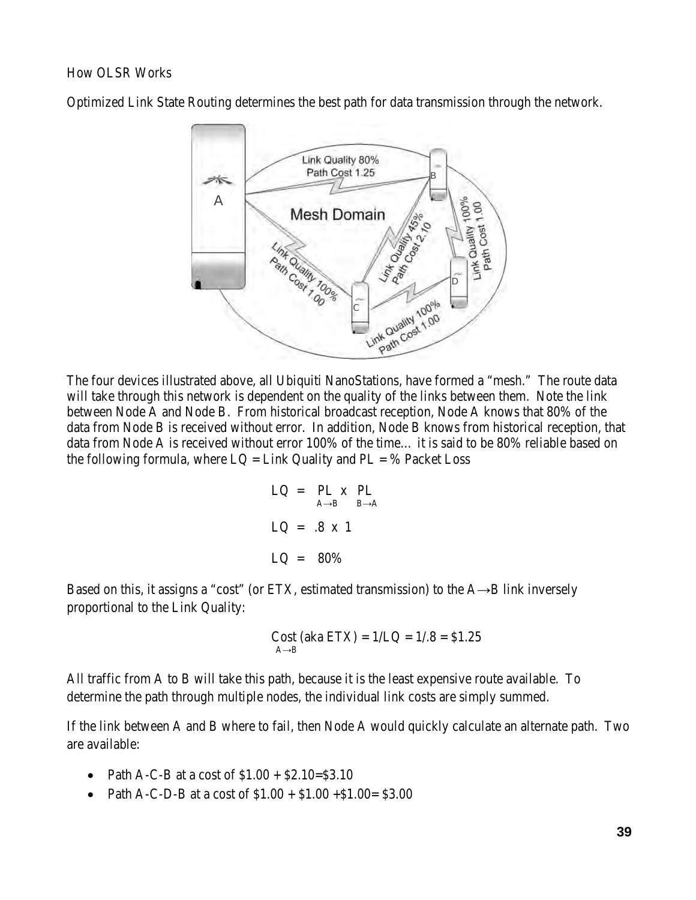#### How OLSR Works

Optimized Link State Routing determines the best path for data transmission through the network.



The four devices illustrated above, all Ubiquiti NanoStations, have formed a "mesh." The route data will take through this network is dependent on the quality of the links between them. Note the link between Node A and Node B. From historical broadcast reception, Node A knows that 80% of the data from Node B is received without error. In addition, Node B knows from historical reception, that data from Node A is received without error 100% of the time… it is said to be 80% reliable based on the following formula, where  $LQ = Link$  Quality and  $PL = %$  Packet Loss

$$
LQ = PL \times PL
$$
  
\n
$$
LQ = .8 \times 1
$$
  
\n
$$
LQ = .80\%
$$

Based on this, it assigns a "cost" (or ETX, estimated transmission) to the  $A\rightarrow B$  link inversely proportional to the Link Quality:

Cost (aka ETX) = 
$$
1/LQ = 1/.8 = $1.25
$$
  
<sub>A→B</sub>

All traffic from A to B will take this path, because it is the least expensive route available. To determine the path through multiple nodes, the individual link costs are simply summed.

If the link between A and B where to fail, then Node A would quickly calculate an alternate path. Two are available:

- Path A-C-B at a cost of  $$1.00 + $2.10 = $3.10$
- Path A-C-D-B at a cost of  $$1.00 + $1.00 + $1.00 = $3.00$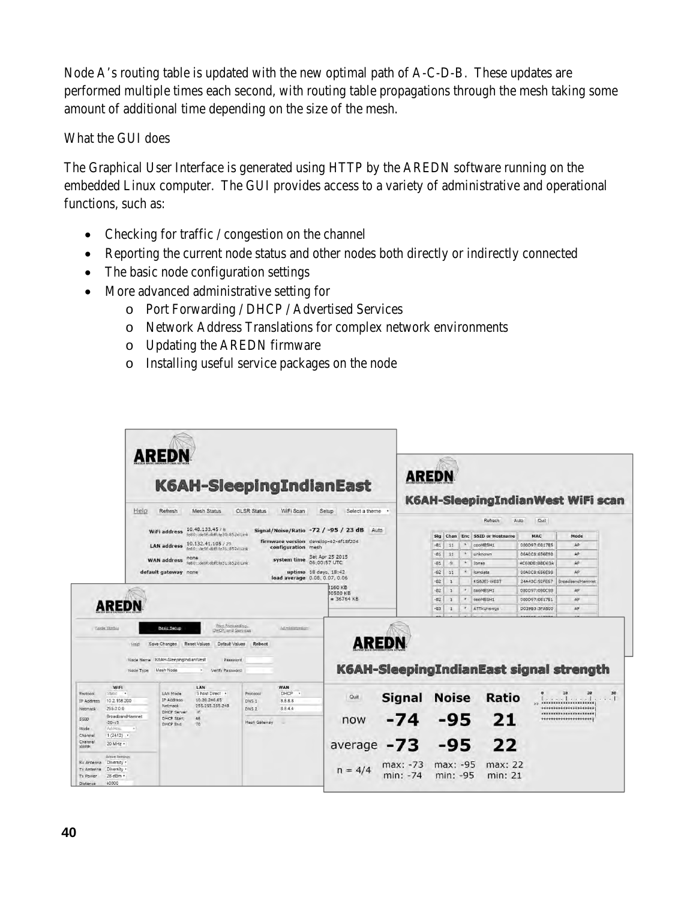Node A's routing table is updated with the new optimal path of A-C-D-B. These updates are performed multiple times each second, with routing table propagations through the mesh taking some amount of additional time depending on the size of the mesh.

What the GUI does

The Graphical User Interface is generated using HTTP by the AREDN software running on the embedded Linux computer. The GUI provides access to a variety of administrative and operational functions, such as:

- $\bullet$  Checking for traffic / congestion on the channel
- Reporting the current node status and other nodes both directly or indirectly connected
- The basic node configuration settings
- More advanced administrative setting for
	- o Port Forwarding / DHCP / Advertised Services
	- o Network Address Translations for complex network environments
	- o Updating the AREDN firmware
	- o Installing useful service packages on the node

|                                                         | <b>AREDN</b><br><b>K6AH-SleepingIndianEast</b>                            |                                                                |                                                                                                          |                                  |                                                            |                           |                                         | <b>AREDN</b><br><b>K6AH-SleepingIndianWest WiFi scan</b> |              |                             |               |                                                    |    |
|---------------------------------------------------------|---------------------------------------------------------------------------|----------------------------------------------------------------|----------------------------------------------------------------------------------------------------------|----------------------------------|------------------------------------------------------------|---------------------------|-----------------------------------------|----------------------------------------------------------|--------------|-----------------------------|---------------|----------------------------------------------------|----|
|                                                         | Help                                                                      | Refresh                                                        | <b>Mesh Status</b>                                                                                       | <b>OLSR Status</b>               | WiFi Scan                                                  | Setup<br>Select a theme . |                                         |                                                          |              | Refresh                     | Quit<br>Auto  |                                                    |    |
|                                                         |                                                                           | WiFi address                                                   | 10.48.133.45 / B<br>fe80::de9f:dbff:fe30:852d Link                                                       |                                  | Signal/Noise/Ratio -72 / -95 / 23 dB                       | Auto                      |                                         |                                                          |              |                             |               |                                                    |    |
|                                                         |                                                                           |                                                                |                                                                                                          |                                  |                                                            |                           |                                         | Sig<br>Chan                                              |              | <b>Enc</b> SSID or Hostname | MAC           | Mode                                               |    |
|                                                         |                                                                           | <b>LAN address</b>                                             | 10.132.41.105 / 29<br>fe80::de9f:dbff:fe31.852d Link                                                     |                                  | firmware version develop-42-4f18f204<br>configuration mesh |                           |                                         | $-81$<br>11                                              | $\mathbf{a}$ | cooMESH1                    | 000D97:0817E5 | AP:                                                |    |
|                                                         |                                                                           |                                                                | none                                                                                                     |                                  |                                                            |                           |                                         | $-81$<br>11                                              | W.           | unknown                     | 06A0C8:656E98 | AP                                                 |    |
|                                                         |                                                                           | <b>WAN address</b>                                             | fe80::de9f:dbff:fe31:852d Link                                                                           |                                  | system time Sat Apr 25 2015                                |                           |                                         | $-81$<br>$\mathbf{e}$                                    | $\sim$       | Jones                       | 4C60DE:BBD63A | AP.                                                |    |
|                                                         |                                                                           | default gateway none                                           |                                                                                                          |                                  | uptime 18 days, 18:42                                      |                           |                                         | $-82$<br>11                                              | $B^-$        | Icmoata                     | 00A0C8:656E98 | ÁP                                                 |    |
|                                                         |                                                                           |                                                                |                                                                                                          |                                  | load average 0.08, 0.07, 0.06                              |                           |                                         | $-82$<br>$\mathbf{1}$                                    |              | KG6JEI-WEST                 | 24A43C:92FE67 | BroadbandHamnet                                    |    |
|                                                         |                                                                           |                                                                |                                                                                                          |                                  | 160 KB<br>80580 KB                                         |                           | $-82$<br>1                              | $W = 1$                                                  | cooMESH1     | 000D97:080C98               | AP            |                                                    |    |
|                                                         |                                                                           |                                                                |                                                                                                          |                                  | $= 36764$ KB                                               |                           | $-82$<br>$\mathbf{1}$                   |                                                          | cooMESH1     | 000D97:0817E1               | AP            |                                                    |    |
|                                                         | <b>AREDN</b>                                                              |                                                                |                                                                                                          |                                  |                                                            |                           |                                         | $-83$<br>$\mathbf{1}$                                    |              | * ATTkUnswgs                | D039B3:3FA500 | AP                                                 |    |
|                                                         | Help<br>Node Type                                                         | Save Changes<br>Node Name K6AH-SleepingIndianWest<br>Mesh Node | DHCP, and Services<br><b>Reset Values</b><br>Default Values<br>Password<br>Verify Password<br><b>MAG</b> | <b>Reboot</b>                    |                                                            | <b>AREDN</b>              | K6AH-SleepingIndianEast signal strength |                                                          |              |                             |               |                                                    |    |
| Protocol<br>IP Address                                  | WiFi<br>Static .<br>10.2.158.200                                          | LAN Mode<br>IP Address<br>Netmask                              | LAN<br>5 host Direct .<br>10.20.246.65<br>255.255.255.248                                                | Protocol<br>DNS 1                | WAN<br>DHCP<br>8.8.8.8                                     | Quit                      | <b>Signal</b>                           | <b>Noise</b>                                             |              | Ratio                       |               | 10<br>20<br>A [ ] 1<br>**********************      | 30 |
| Netmask<br>SSID<br>Mode                                 | 255.0.0.0<br>BroadbandHamnet<br>$-20 - v3$<br>Ad-Hoc<br>$\tau$            | <b>DHCP Server</b><br><b>DHCP Start</b><br>DHCP End            | ×<br>66<br>70                                                                                            | DNS <sub>2</sub><br>Mesh Gateway | 8844                                                       | now                       | $-74$                                   | $-95$                                                    |              | 21                          |               | *********************<br><br>********************* |    |
| Channel<br>Channel<br>Width                             | $1(2412)$ .<br>20 MHz -                                                   |                                                                |                                                                                                          |                                  |                                                            | average $-73 -95$         |                                         |                                                          |              | 22                          |               |                                                    |    |
| Rx Antenna<br>Ty Antenna<br>Ty Power<br><b>Distance</b> | <b>Active Settings</b><br>Diversity *<br>Diversity .<br>28 dBm +<br>40000 |                                                                |                                                                                                          |                                  |                                                            | $n = 4/4$                 | max: -73 max: -95<br>min: -74 min: -95  |                                                          |              | max: 22<br>min: 21          |               |                                                    |    |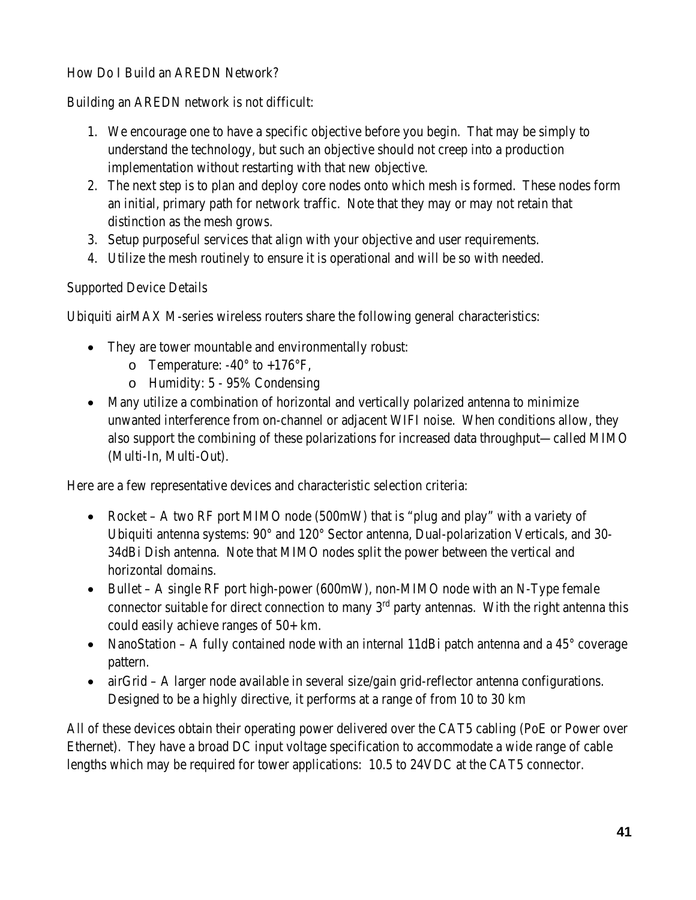## How Do I Build an AREDN Network?

Building an AREDN network is not difficult:

- 1. We encourage one to have a specific objective before you begin. That may be simply to understand the technology, but such an objective should not creep into a production implementation without restarting with that new objective.
- 2. The next step is to plan and deploy core nodes onto which mesh is formed. These nodes form an initial, primary path for network traffic. Note that they may or may not retain that distinction as the mesh grows.
- 3. Setup purposeful services that align with your objective and user requirements.
- 4. Utilize the mesh routinely to ensure it is operational and will be so with needed.

Supported Device Details

Ubiquiti airMAX M-series wireless routers share the following general characteristics:

- They are tower mountable and environmentally robust:
	- o Temperature:  $-40^{\circ}$  to  $+176^{\circ}$ F,
	- o Humidity: 5 95% Condensing
- Many utilize a combination of horizontal and vertically polarized antenna to minimize unwanted interference from on-channel or adjacent WIFI noise. When conditions allow, they also support the combining of these polarizations for increased data throughput—called MIMO (Multi-In, Multi-Out).

Here are a few representative devices and characteristic selection criteria:

- Rocket A two RF port MIMO node (500mW) that is "plug and play" with a variety of Ubiquiti antenna systems: 90° and 120° Sector antenna, Dual-polarization Verticals, and 30- 34dBi Dish antenna. Note that MIMO nodes split the power between the vertical and horizontal domains.
- Bullet A single RF port high-power (600mW), non-MIMO node with an N-Type female connector suitable for direct connection to many  $3<sup>rd</sup>$  party antennas. With the right antenna this could easily achieve ranges of 50+ km.
- NanoStation A fully contained node with an internal 11dBi patch antenna and a  $45^{\circ}$  coverage pattern.
- $\bullet$  airGrid A larger node available in several size/gain grid-reflector antenna configurations. Designed to be a highly directive, it performs at a range of from 10 to 30 km

All of these devices obtain their operating power delivered over the CAT5 cabling (PoE or Power over Ethernet). They have a broad DC input voltage specification to accommodate a wide range of cable lengths which may be required for tower applications: 10.5 to 24VDC at the CAT5 connector.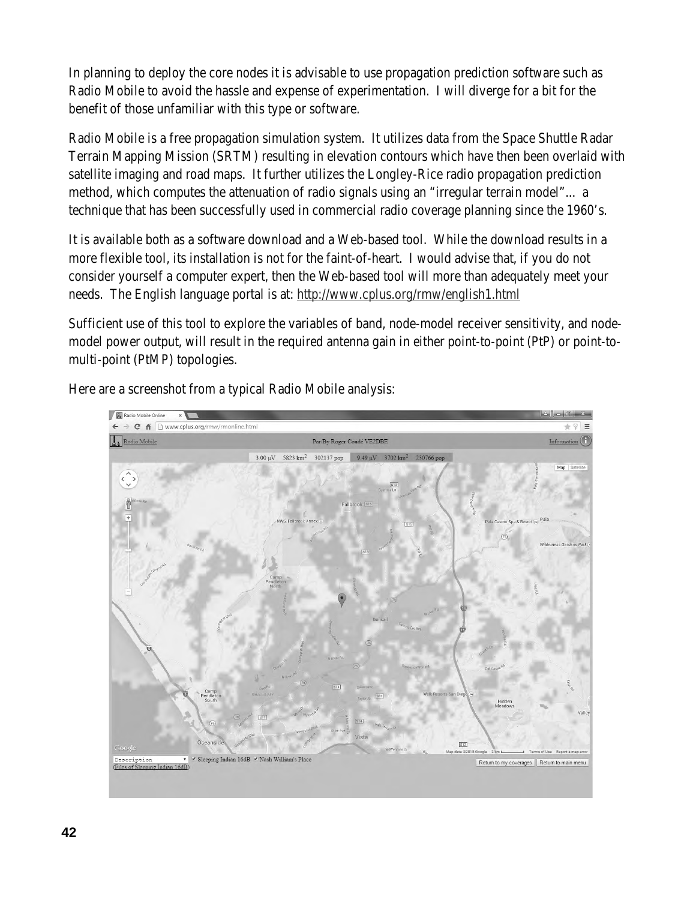In planning to deploy the core nodes it is advisable to use propagation prediction software such as Radio Mobile to avoid the hassle and expense of experimentation. I will diverge for a bit for the benefit of those unfamiliar with this type or software.

Radio Mobile is a free propagation simulation system. It utilizes data from the Space Shuttle Radar Terrain Mapping Mission (SRTM) resulting in elevation contours which have then been overlaid with satellite imaging and road maps. It further utilizes the Longley-Rice radio propagation prediction method, which computes the attenuation of radio signals using an "irregular terrain model"... a technique that has been successfully used in commercial radio coverage planning since the 1960's.

It is available both as a software download and a Web-based tool. While the download results in a more flexible tool, its installation is not for the faint-of-heart. I would advise that, if you do not consider yourself a computer expert, then the Web-based tool will more than adequately meet your needs. The English language portal is at: http://www.cplus.org/rmw/english1.html

Sufficient use of this tool to explore the variables of band, node-model receiver sensitivity, and nodemodel power output, will result in the required antenna gain in either point-to-point (PtP) or point-tomulti-point (PtMP) topologies.



Here are a screenshot from a typical Radio Mobile analysis: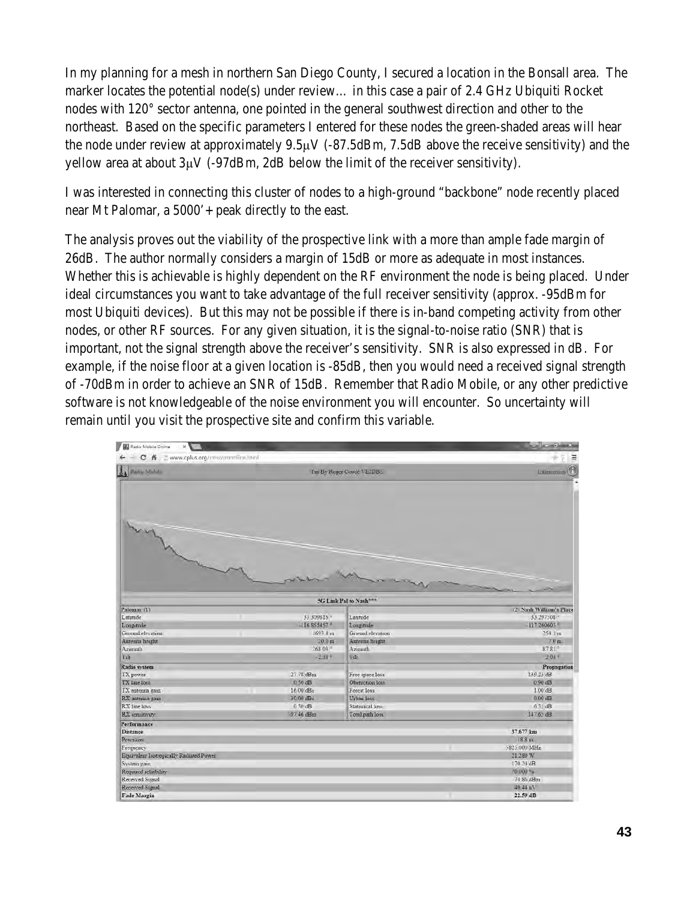In my planning for a mesh in northern San Diego County, I secured a location in the Bonsall area. The marker locates the potential node(s) under review… in this case a pair of 2.4 GHz Ubiquiti Rocket nodes with 120° sector antenna, one pointed in the general southwest direction and other to the northeast. Based on the specific parameters I entered for these nodes the green-shaded areas will hear the node under review at approximately 9.5μV (-87.5dBm, 7.5dB above the receive sensitivity) and the yellow area at about 3μV (-97dBm, 2dB below the limit of the receiver sensitivity).

I was interested in connecting this cluster of nodes to a high-ground "backbone" node recently placed near Mt Palomar, a 5000'+ peak directly to the east.

The analysis proves out the viability of the prospective link with a more than ample fade margin of 26dB. The author normally considers a margin of 15dB or more as adequate in most instances. Whether this is achievable is highly dependent on the RF environment the node is being placed. Under ideal circumstances you want to take advantage of the full receiver sensitivity (approx. -95dBm for most Ubiquiti devices). But this may not be possible if there is in-band competing activity from other nodes, or other RF sources. For any given situation, it is the signal-to-noise ratio (SNR) that is important, not the signal strength above the receiver's sensitivity. SNR is also expressed in dB. For example, if the noise floor at a given location is -85dB, then you would need a received signal strength of -70dBm in order to achieve an SNR of 15dB. Remember that Radio Mobile, or any other predictive software is not knowledgeable of the noise environment you will encounter. So uncertainty will remain until you visit the prospective site and confirm this variable.

| Radio Mobile Driline<br>$ x$            |                              |                                    | m(n)                                    |
|-----------------------------------------|------------------------------|------------------------------------|-----------------------------------------|
| C A _ www.cplus.org/mw/memline.html     |                              |                                    | Ξ                                       |
| <b>La Badie Mehild</b>                  |                              | Par By Roger Coudé VE2DBE          | Internation <sup>(</sup>                |
|                                         |                              |                                    |                                         |
|                                         |                              | 5G Link Pal to Nash***             |                                         |
| Palomar (1)                             |                              |                                    | (2) Nash William's Place                |
| Lantude                                 | 33.309816                    | Latitude                           | 33.297508                               |
| Longitude                               | $-116.855457$ *              | Longitude                          | 117 260603                              |
| Ground elevation                        | 1693.1 m                     | Ground elevation                   | 754 1 m                                 |
| Antenna hereht<br>Azimuth               | 20.0 m<br>$268.03$ $\degree$ | Antenna height                     | $7.0 \text{ m}$<br>$87.81$ <sup>*</sup> |
| T:G                                     | $-1.48$ F                    | Azmuth<br>4 dr                     | $2.04 -$                                |
|                                         |                              |                                    |                                         |
| Radio system                            | 27.78 dBm                    |                                    | Propagation<br>139 23 dB                |
| TX power<br>TX line loss                | 0.50 dB                      | Free space loss<br>Obstuction loss | $0.90$ dB                               |
| TX antenna gam                          | $16.00$ dB <sub>1</sub>      | Forest loss                        | $1.00$ dB                               |
| RX anténna gam                          | 30.00 dBi                    | Urban loss                         | $0.00$ dB                               |
| RX line loss                            | 0.50 dB                      | Statistical loss                   | 6.51 dB                                 |
| RX sensitivity                          | -97.46 dBm                   | Total path love                    | 147.65 dB                               |
| Performance                             |                              |                                    |                                         |
| <b>Distance</b>                         |                              |                                    | 37.677 km                               |
| Pressuon                                |                              |                                    | 18.8 m                                  |
| Frequency                               |                              |                                    | 5825.000 MHz                            |
| Equivalent Isotropically Radiated Power |                              |                                    | 21 289 W                                |
| System gain                             |                              |                                    | 170.24 dB                               |
| Required reliability                    |                              |                                    | 70,000 %                                |
| Received Signal                         |                              |                                    | 74 86 dBm                               |
| Received Stannl                         |                              |                                    | 40.44 uV                                |
| Fade Margin                             |                              |                                    | 22.59 dB                                |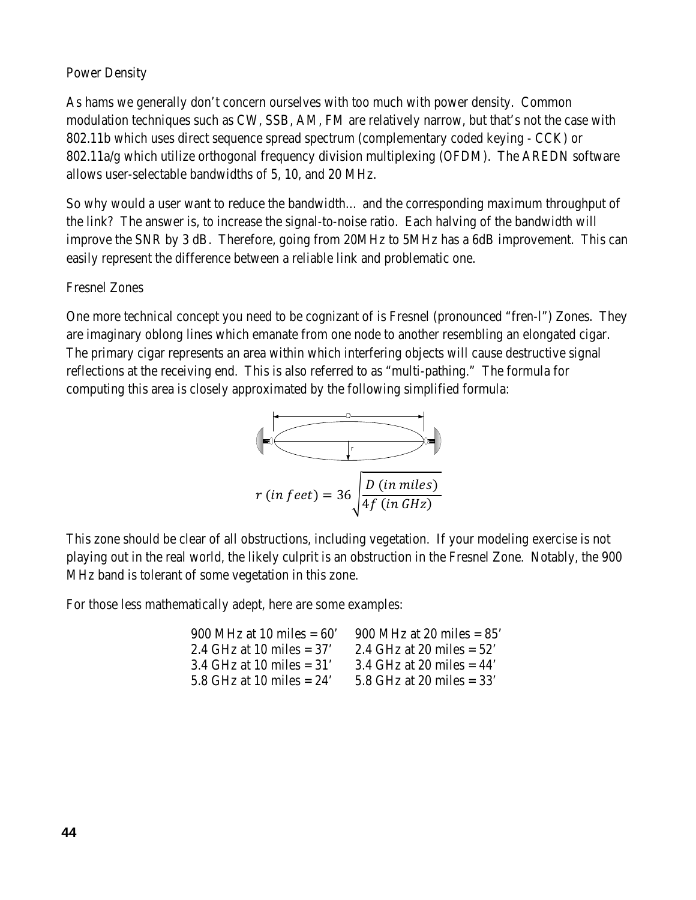### Power Density

As hams we generally don't concern ourselves with too much with power density. Common modulation techniques such as CW, SSB, AM, FM are relatively narrow, but that's not the case with 802.11b which uses direct sequence spread spectrum (complementary coded keying - CCK) or 802.11a/g which utilize orthogonal frequency division multiplexing (OFDM). The AREDN software allows user-selectable bandwidths of 5, 10, and 20 MHz.

So why would a user want to reduce the bandwidth… and the corresponding maximum throughput of the link? The answer is, to increase the signal-to-noise ratio. Each halving of the bandwidth will improve the SNR by 3 dB. Therefore, going from 20MHz to 5MHz has a 6dB improvement. This can easily represent the difference between a reliable link and problematic one.

### Fresnel Zones

One more technical concept you need to be cognizant of is Fresnel (pronounced "fren-l") Zones. They are imaginary oblong lines which emanate from one node to another resembling an elongated cigar. The primary cigar represents an area within which interfering objects will cause destructive signal reflections at the receiving end. This is also referred to as "multi-pathing." The formula for computing this area is closely approximated by the following simplified formula:



This zone should be clear of all obstructions, including vegetation. If your modeling exercise is not playing out in the real world, the likely culprit is an obstruction in the Fresnel Zone. Notably, the 900 MHz band is tolerant of some vegetation in this zone.

For those less mathematically adept, here are some examples:

| 900 MHz at 10 miles $= 60'$ | 900 MHz at 20 miles $= 85'$ |
|-----------------------------|-----------------------------|
| 2.4 GHz at 10 miles $=$ 37' | 2.4 GHz at 20 miles $= 52'$ |
| 3.4 GHz at 10 miles $=$ 31' | 3.4 GHz at 20 miles $=$ 44' |
| 5.8 GHz at 10 miles $= 24$  | 5.8 GHz at 20 miles $=$ 33' |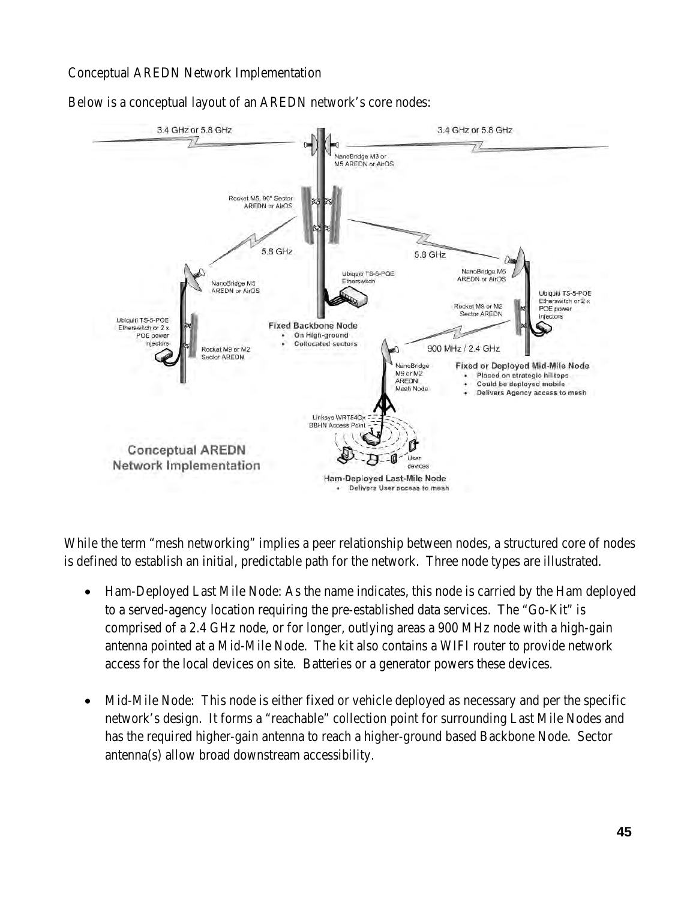### Conceptual AREDN Network Implementation



Below is a conceptual layout of an AREDN network's core nodes:

While the term "mesh networking" implies a peer relationship between nodes, a structured core of nodes is defined to establish an initial, predictable path for the network. Three node types are illustrated.

- Ham-Deployed Last Mile Node: As the name indicates, this node is carried by the Ham deployed to a served-agency location requiring the pre-established data services. The "Go-Kit" is comprised of a 2.4 GHz node, or for longer, outlying areas a 900 MHz node with a high-gain antenna pointed at a Mid-Mile Node. The kit also contains a WIFI router to provide network access for the local devices on site. Batteries or a generator powers these devices.
- Mid-Mile Node: This node is either fixed or vehicle deployed as necessary and per the specific network's design. It forms a "reachable" collection point for surrounding Last Mile Nodes and has the required higher-gain antenna to reach a higher-ground based Backbone Node. Sector antenna(s) allow broad downstream accessibility.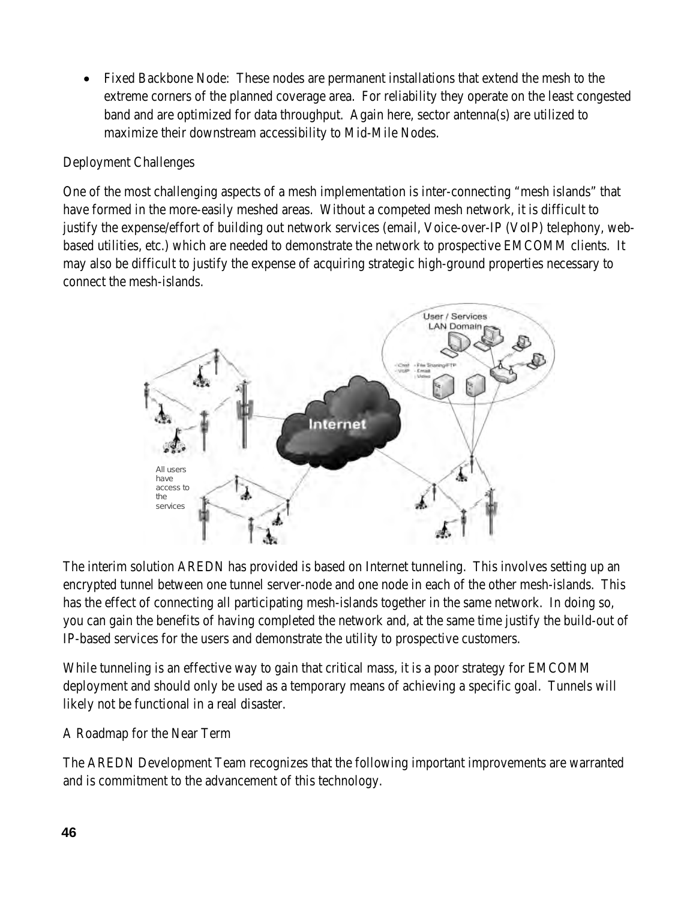• Fixed Backbone Node: These nodes are permanent installations that extend the mesh to the extreme corners of the planned coverage area. For reliability they operate on the least congested band and are optimized for data throughput. Again here, sector antenna(s) are utilized to maximize their downstream accessibility to Mid-Mile Nodes.

# Deployment Challenges

One of the most challenging aspects of a mesh implementation is inter-connecting "mesh islands" that have formed in the more-easily meshed areas. Without a competed mesh network, it is difficult to justify the expense/effort of building out network services (email, Voice-over-IP (VoIP) telephony, webbased utilities, etc.) which are needed to demonstrate the network to prospective EMCOMM clients. It may also be difficult to justify the expense of acquiring strategic high-ground properties necessary to connect the mesh-islands.



The interim solution AREDN has provided is based on Internet tunneling. This involves setting up an encrypted tunnel between one tunnel server-node and one node in each of the other mesh-islands. This has the effect of connecting all participating mesh-islands together in the same network. In doing so, you can gain the benefits of having completed the network and, at the same time justify the build-out of IP-based services for the users and demonstrate the utility to prospective customers.

While tunneling is an effective way to gain that critical mass, it is a poor strategy for EMCOMM deployment and should only be used as a temporary means of achieving a specific goal. Tunnels will likely not be functional in a real disaster.

### A Roadmap for the Near Term

The AREDN Development Team recognizes that the following important improvements are warranted and is commitment to the advancement of this technology.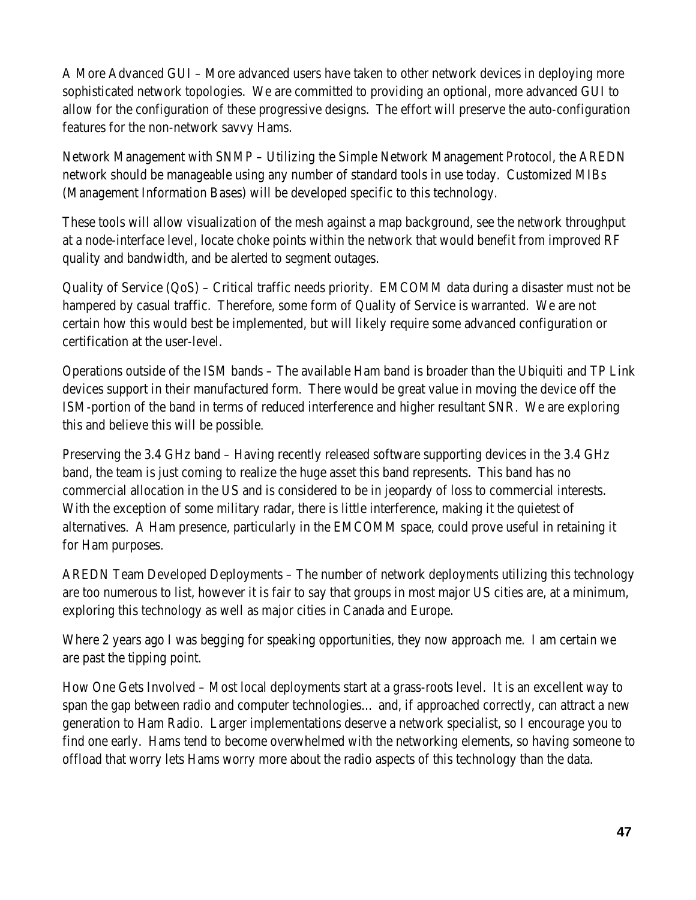A More Advanced GUI – More advanced users have taken to other network devices in deploying more sophisticated network topologies. We are committed to providing an optional, more advanced GUI to allow for the configuration of these progressive designs. The effort will preserve the auto-configuration features for the non-network savvy Hams.

Network Management with SNMP – Utilizing the Simple Network Management Protocol, the AREDN network should be manageable using any number of standard tools in use today. Customized MIBs (Management Information Bases) will be developed specific to this technology.

These tools will allow visualization of the mesh against a map background, see the network throughput at a node-interface level, locate choke points within the network that would benefit from improved RF quality and bandwidth, and be alerted to segment outages.

Quality of Service (QoS) – Critical traffic needs priority. EMCOMM data during a disaster must not be hampered by casual traffic. Therefore, some form of Quality of Service is warranted. We are not certain how this would best be implemented, but will likely require some advanced configuration or certification at the user-level.

Operations outside of the ISM bands – The available Ham band is broader than the Ubiquiti and TP Link devices support in their manufactured form. There would be great value in moving the device off the ISM-portion of the band in terms of reduced interference and higher resultant SNR. We are exploring this and believe this will be possible.

Preserving the 3.4 GHz band – Having recently released software supporting devices in the 3.4 GHz band, the team is just coming to realize the huge asset this band represents. This band has no commercial allocation in the US and is considered to be in jeopardy of loss to commercial interests. With the exception of some military radar, there is little interference, making it the quietest of alternatives. A Ham presence, particularly in the EMCOMM space, could prove useful in retaining it for Ham purposes.

AREDN Team Developed Deployments – The number of network deployments utilizing this technology are too numerous to list, however it is fair to say that groups in most major US cities are, at a minimum, exploring this technology as well as major cities in Canada and Europe.

Where 2 years ago I was begging for speaking opportunities, they now approach me. I am certain we are past the tipping point.

How One Gets Involved – Most local deployments start at a grass-roots level. It is an excellent way to span the gap between radio and computer technologies… and, if approached correctly, can attract a new generation to Ham Radio. Larger implementations deserve a network specialist, so I encourage you to find one early. Hams tend to become overwhelmed with the networking elements, so having someone to offload that worry lets Hams worry more about the radio aspects of this technology than the data.